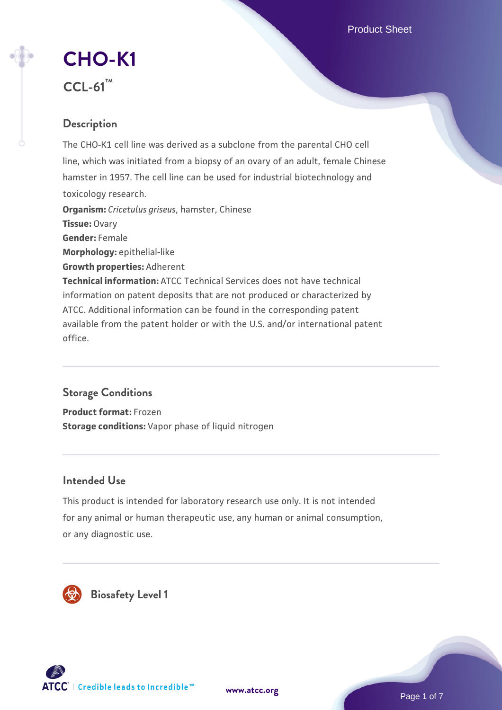Product Sheet

# **[CHO-K1](https://www.atcc.org/products/ccl-61)**

**CCL-61™**

# **Description**

The CHO-K1 cell line was derived as a subclone from the parental CHO cell line, which was initiated from a biopsy of an ovary of an adult, female Chinese hamster in 1957. The cell line can be used for industrial biotechnology and toxicology research. **Organism:** *Cricetulus griseus*, hamster, Chinese **Tissue:** Ovary **Gender:** Female **Morphology:** epithelial-like **Growth properties:** Adherent **Technical information:** ATCC Technical Services does not have technical information on patent deposits that are not produced or characterized by ATCC. Additional information can be found in the corresponding patent available from the patent holder or with the U.S. and/or international patent office.

# **Storage Conditions**

**Product format:** Frozen **Storage conditions:** Vapor phase of liquid nitrogen

# **Intended Use**

This product is intended for laboratory research use only. It is not intended for any animal or human therapeutic use, any human or animal consumption, or any diagnostic use.







Page 1 of 7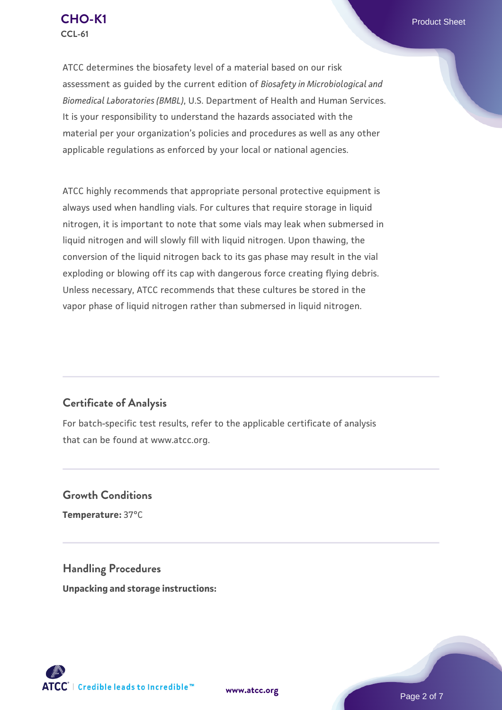

ATCC determines the biosafety level of a material based on our risk assessment as guided by the current edition of *Biosafety in Microbiological and Biomedical Laboratories (BMBL)*, U.S. Department of Health and Human Services. It is your responsibility to understand the hazards associated with the material per your organization's policies and procedures as well as any other applicable regulations as enforced by your local or national agencies.

ATCC highly recommends that appropriate personal protective equipment is always used when handling vials. For cultures that require storage in liquid nitrogen, it is important to note that some vials may leak when submersed in liquid nitrogen and will slowly fill with liquid nitrogen. Upon thawing, the conversion of the liquid nitrogen back to its gas phase may result in the vial exploding or blowing off its cap with dangerous force creating flying debris. Unless necessary, ATCC recommends that these cultures be stored in the vapor phase of liquid nitrogen rather than submersed in liquid nitrogen.

#### **Certificate of Analysis**

For batch-specific test results, refer to the applicable certificate of analysis that can be found at www.atcc.org.

**Growth Conditions Temperature:** 37°C

**Handling Procedures Unpacking and storage instructions:**

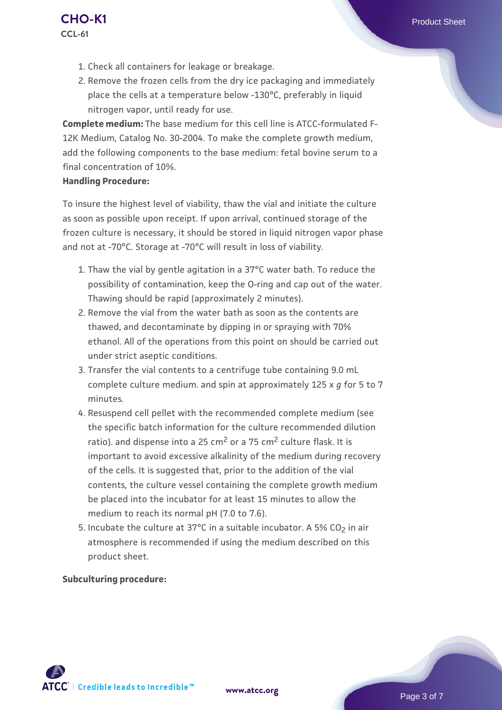- 1. Check all containers for leakage or breakage.
- 2. Remove the frozen cells from the dry ice packaging and immediately place the cells at a temperature below -130°C, preferably in liquid nitrogen vapor, until ready for use.

**Complete medium:** The base medium for this cell line is ATCC-formulated F-12K Medium, Catalog No. 30-2004. To make the complete growth medium, add the following components to the base medium: fetal bovine serum to a final concentration of 10%.

#### **Handling Procedure:**

To insure the highest level of viability, thaw the vial and initiate the culture as soon as possible upon receipt. If upon arrival, continued storage of the frozen culture is necessary, it should be stored in liquid nitrogen vapor phase and not at -70°C. Storage at -70°C will result in loss of viability.

- 1. Thaw the vial by gentle agitation in a 37°C water bath. To reduce the possibility of contamination, keep the O-ring and cap out of the water. Thawing should be rapid (approximately 2 minutes).
- 2. Remove the vial from the water bath as soon as the contents are thawed, and decontaminate by dipping in or spraying with 70% ethanol. All of the operations from this point on should be carried out under strict aseptic conditions.
- 3. Transfer the vial contents to a centrifuge tube containing 9.0 mL complete culture medium. and spin at approximately 125 x *g* for 5 to 7 minutes.
- 4. Resuspend cell pellet with the recommended complete medium (see the specific batch information for the culture recommended dilution ratio). and dispense into a 25 cm<sup>2</sup> or a 75 cm<sup>2</sup> culture flask. It is important to avoid excessive alkalinity of the medium during recovery of the cells. It is suggested that, prior to the addition of the vial contents, the culture vessel containing the complete growth medium be placed into the incubator for at least 15 minutes to allow the medium to reach its normal pH (7.0 to 7.6).
- 5. Incubate the culture at 37°C in a suitable incubator. A 5% CO<sub>2</sub> in air atmosphere is recommended if using the medium described on this product sheet.

#### **Subculturing procedure:**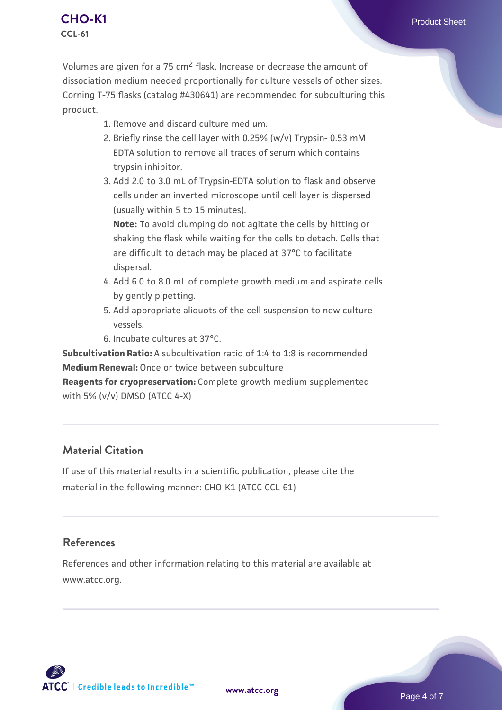#### **[CHO-K1](https://www.atcc.org/products/ccl-61)** Product Sheet **CCL-61**

Volumes are given for a 75 cm2 flask. Increase or decrease the amount of dissociation medium needed proportionally for culture vessels of other sizes. Corning T-75 flasks (catalog #430641) are recommended for subculturing this product.

- 1. Remove and discard culture medium.
- 2. Briefly rinse the cell layer with 0.25% (w/v) Trypsin- 0.53 mM EDTA solution to remove all traces of serum which contains trypsin inhibitor.
- 3. Add 2.0 to 3.0 mL of Trypsin-EDTA solution to flask and observe cells under an inverted microscope until cell layer is dispersed (usually within 5 to 15 minutes).

**Note:** To avoid clumping do not agitate the cells by hitting or shaking the flask while waiting for the cells to detach. Cells that are difficult to detach may be placed at 37°C to facilitate dispersal.

- 4. Add 6.0 to 8.0 mL of complete growth medium and aspirate cells by gently pipetting.
- 5. Add appropriate aliquots of the cell suspension to new culture vessels.
- 6. Incubate cultures at 37°C.

**Subcultivation Ratio:** A subcultivation ratio of 1:4 to 1:8 is recommended **Medium Renewal:** Once or twice between subculture

**Reagents for cryopreservation:** Complete growth medium supplemented with 5% (v/v) DMSO (ATCC 4-X)

# **Material Citation**

If use of this material results in a scientific publication, please cite the material in the following manner: CHO-K1 (ATCC CCL-61)

# **References**

References and other information relating to this material are available at www.atcc.org.

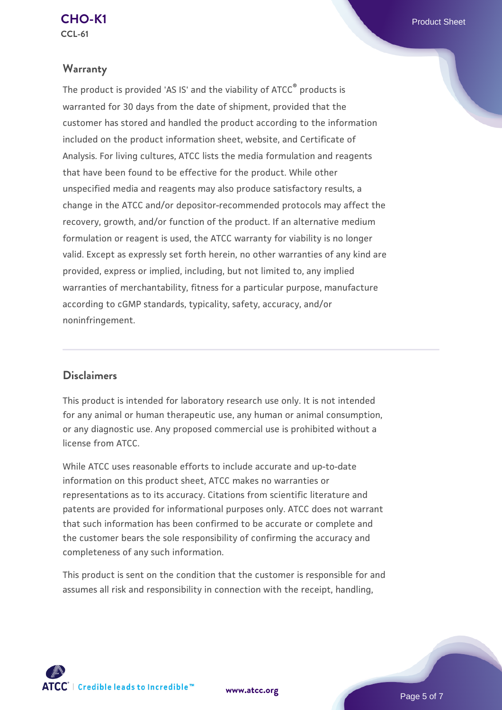# **CCL-61**

# **Warranty**

The product is provided 'AS IS' and the viability of ATCC® products is warranted for 30 days from the date of shipment, provided that the customer has stored and handled the product according to the information included on the product information sheet, website, and Certificate of Analysis. For living cultures, ATCC lists the media formulation and reagents that have been found to be effective for the product. While other unspecified media and reagents may also produce satisfactory results, a change in the ATCC and/or depositor-recommended protocols may affect the recovery, growth, and/or function of the product. If an alternative medium formulation or reagent is used, the ATCC warranty for viability is no longer valid. Except as expressly set forth herein, no other warranties of any kind are provided, express or implied, including, but not limited to, any implied warranties of merchantability, fitness for a particular purpose, manufacture according to cGMP standards, typicality, safety, accuracy, and/or noninfringement.

# **Disclaimers**

This product is intended for laboratory research use only. It is not intended for any animal or human therapeutic use, any human or animal consumption, or any diagnostic use. Any proposed commercial use is prohibited without a license from ATCC.

While ATCC uses reasonable efforts to include accurate and up-to-date information on this product sheet, ATCC makes no warranties or representations as to its accuracy. Citations from scientific literature and patents are provided for informational purposes only. ATCC does not warrant that such information has been confirmed to be accurate or complete and the customer bears the sole responsibility of confirming the accuracy and completeness of any such information.

This product is sent on the condition that the customer is responsible for and assumes all risk and responsibility in connection with the receipt, handling,

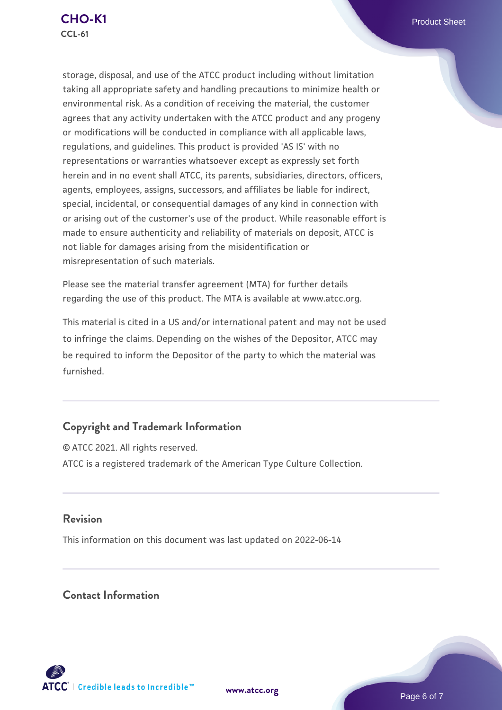storage, disposal, and use of the ATCC product including without limitation taking all appropriate safety and handling precautions to minimize health or environmental risk. As a condition of receiving the material, the customer agrees that any activity undertaken with the ATCC product and any progeny or modifications will be conducted in compliance with all applicable laws, regulations, and guidelines. This product is provided 'AS IS' with no representations or warranties whatsoever except as expressly set forth herein and in no event shall ATCC, its parents, subsidiaries, directors, officers, agents, employees, assigns, successors, and affiliates be liable for indirect, special, incidental, or consequential damages of any kind in connection with or arising out of the customer's use of the product. While reasonable effort is made to ensure authenticity and reliability of materials on deposit, ATCC is not liable for damages arising from the misidentification or misrepresentation of such materials.

Please see the material transfer agreement (MTA) for further details regarding the use of this product. The MTA is available at www.atcc.org.

This material is cited in a US and/or international patent and may not be used to infringe the claims. Depending on the wishes of the Depositor, ATCC may be required to inform the Depositor of the party to which the material was furnished.

# **Copyright and Trademark Information**

© ATCC 2021. All rights reserved. ATCC is a registered trademark of the American Type Culture Collection.

### **Revision**

This information on this document was last updated on 2022-06-14

### **Contact Information**